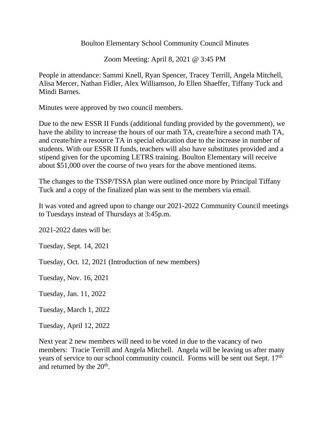Boulton Elementary School Community Council Minutes

Zoom Meeting: April 8, 2021 @ 3:45 PM

People in attendance: Sammi Knell, Ryan Spencer, Tracey Terrill, Angela Mitchell, Alisa Mercer, Nathan Fidler, Alex Williamson, Jo Ellen Shaeffer, Tiffany Tuck and Mindi Barnes.

Minutes were approved by two council members.

Due to the new ESSR II Funds (additional funding provided by the government), we have the ability to increase the hours of our math TA, create/hire a second math TA, and create/hire a resource TA in special education due to the increase in number of students. With our ESSR II funds, teachers will also have substitutes provided and a stipend given for the upcoming LETRS training. Boulton Elementary will receive about \$51,000 over the course of two years for the above mentioned items.

The changes to the TSSP/TSSA plan were outlined once more by Principal Tiffany Tuck and a copy of the finalized plan was sent to the members via email.

It was voted and agreed upon to change our 2021-2022 Community Council meetings to Tuesdays instead of Thursdays at 3:45p.m.

2021-2022 dates will be:

Tuesday, Sept. 14, 2021

Tuesday, Oct. 12, 2021 (Introduction of new members)

Tuesday, Nov. 16, 2021

Tuesday, Jan. 11, 2022

Tuesday, March 1, 2022

Tuesday, April 12, 2022

Next year 2 new members will need to be voted in due to the vacancy of two members: Tracie Terrill and Angela Mitchell. Angela will be leaving us after many years of service to our school community council. Forms will be sent out Sept. 17<sup>th</sup> and returned by the  $20<sup>th</sup>$ .